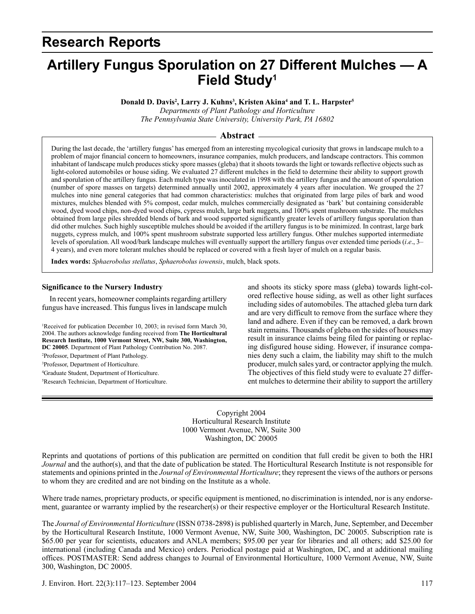# **Research Reports**

# **Artillery Fungus Sporulation on 27 Different Mulches — A Field Study1**

**Donald D. Davis2 , Larry J. Kuhns3 , Kristen Akina4 and T. L. Harpster5**

*Departments of Plant Pathology and Horticulture The Pennsylvania State University, University Park, PA 16802*

# **Abstract**

During the last decade, the 'artillery fungus' has emerged from an interesting mycological curiosity that grows in landscape mulch to a problem of major financial concern to homeowners, insurance companies, mulch producers, and landscape contractors. This common inhabitant of landscape mulch produces sticky spore masses (gleba) that it shoots towards the light or towards reflective objects such as light-colored automobiles or house siding. We evaluated 27 different mulches in the field to determine their ability to support growth and sporulation of the artillery fungus. Each mulch type was inoculated in 1998 with the artillery fungus and the amount of sporulation (number of spore masses on targets) determined annually until 2002, approximately 4 years after inoculation. We grouped the 27 mulches into nine general categories that had common characteristics: mulches that originated from large piles of bark and wood mixtures, mulches blended with 5% compost, cedar mulch, mulches commercially designated as 'bark' but containing considerable wood, dyed wood chips, non-dyed wood chips, cypress mulch, large bark nuggets, and 100% spent mushroom substrate. The mulches obtained from large piles shredded blends of bark and wood supported significantly greater levels of artillery fungus sporulation than did other mulches. Such highly susceptible mulches should be avoided if the artillery fungus is to be minimized. In contrast, large bark nuggets, cypress mulch, and 100% spent mushroom substrate supported less artillery fungus. Other mulches supported intermediate levels of sporulation. All wood/bark landscape mulches will eventually support the artillery fungus over extended time periods (*i*.*e*., 3– 4 years), and even more tolerant mulches should be replaced or covered with a fresh layer of mulch on a regular basis.

**Index words:** *Sphaerobolus stellatus*, *Sphaerobolus iowensis*, mulch, black spots.

#### **Significance to the Nursery Industry**

In recent years, homeowner complaints regarding artillery fungus have increased. This fungus lives in landscape mulch

<sup>1</sup>Received for publication December 10, 2003; in revised form March 30, 2004. The authors acknowledge funding received from **The Horticultural Research Institute, 1000 Vermont Street, NW, Suite 300, Washington, DC 20005**. Department of Plant Pathology Contribution No. 2087.

2 Professor, Department of Plant Pathology.

3 Professor, Department of Horticulture.

4 Graduate Student, Department of Horticulture. 5 Research Technician, Department of Horticulture. and shoots its sticky spore mass (gleba) towards light-colored reflective house siding, as well as other light surfaces including sides of automobiles. The attached gleba turn dark and are very difficult to remove from the surface where they land and adhere. Even if they can be removed, a dark brown stain remains. Thousands of gleba on the sides of houses may result in insurance claims being filed for painting or replacing disfigured house siding. However, if insurance companies deny such a claim, the liability may shift to the mulch producer, mulch sales yard, or contractor applying the mulch. The objectives of this field study were to evaluate 27 different mulches to determine their ability to support the artillery

Copyright 2004 Horticultural Research Institute 1000 Vermont Avenue, NW, Suite 300 Washington, DC 20005

Reprints and quotations of portions of this publication are permitted on condition that full credit be given to both the HRI *Journal* and the author(s), and that the date of publication be stated. The Horticultural Research Institute is not responsible for statements and opinions printed in the *Journal of Environmental Horticulture*; they represent the views of the authors or persons to whom they are credited and are not binding on the Institute as a whole.

Where trade names, proprietary products, or specific equipment is mentioned, no discrimination is intended, nor is any endorsement, guarantee or warranty implied by the researcher(s) or their respective employer or the Horticultural Research Institute.

The *Journal of Environmental Horticulture* (ISSN 0738-2898) is published quarterly in March, June, September, and December by the Horticultural Research Institute, 1000 Vermont Avenue, NW, Suite 300, Washington, DC 20005. Subscription rate is \$65.00 per year for scientists, educators and ANLA members; \$95.00 per year for libraries and all others; add \$25.00 for international (including Canada and Mexico) orders. Periodical postage paid at Washington, DC, and at additional mailing offices. POSTMASTER: Send address changes to Journal of Environmental Horticulture, 1000 Vermont Avenue, NW, Suite 300, Washington, DC 20005.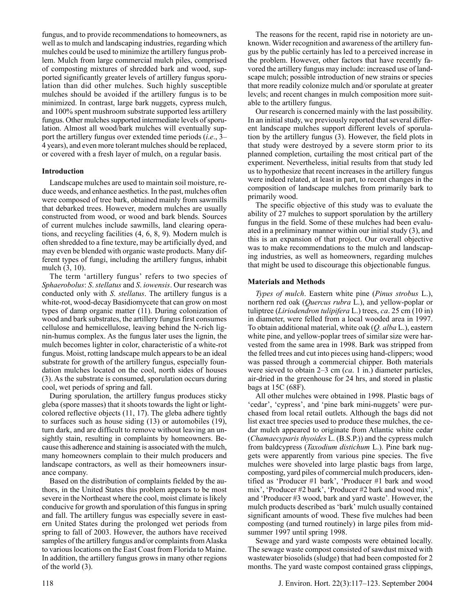fungus, and to provide recommendations to homeowners, as well as to mulch and landscaping industries, regarding which mulches could be used to minimize the artillery fungus problem. Mulch from large commercial mulch piles, comprised of composting mixtures of shredded bark and wood, supported significantly greater levels of artillery fungus sporulation than did other mulches. Such highly susceptible mulches should be avoided if the artillery fungus is to be minimized. In contrast, large bark nuggets, cypress mulch, and 100% spent mushroom substrate supported less artillery fungus. Other mulches supported intermediate levels of sporulation. Almost all wood/bark mulches will eventually support the artillery fungus over extended time periods (*i*.*e*., 3– 4 years), and even more tolerant mulches should be replaced, or covered with a fresh layer of mulch, on a regular basis.

## **Introduction**

Landscape mulches are used to maintain soil moisture, reduce weeds, and enhance aesthetics. In the past, mulches often were composed of tree bark, obtained mainly from sawmills that debarked trees. However, modern mulches are usually constructed from wood, or wood and bark blends. Sources of current mulches include sawmills, land clearing operations, and recycling facilities (4, 6, 8, 9). Modern mulch is often shredded to a fine texture, may be artificially dyed, and may even be blended with organic waste products. Many different types of fungi, including the artillery fungus, inhabit mulch (3, 10).

The term 'artillery fungus' refers to two species of *Sphaerobolus*: *S*. *stellatus* and *S*. *iowensis*. Our research was conducted only with *S*. *stellatus*. The artillery fungus is a white-rot, wood-decay Basidiomycete that can grow on most types of damp organic matter (11). During colonization of wood and bark substrates, the artillery fungus first consumes cellulose and hemicellulose, leaving behind the N-rich lignin-humus complex. As the fungus later uses the lignin, the mulch becomes lighter in color, characteristic of a white-rot fungus. Moist, rotting landscape mulch appears to be an ideal substrate for growth of the artillery fungus, especially foundation mulches located on the cool, north sides of houses (3). As the substrate is consumed, sporulation occurs during cool, wet periods of spring and fall.

During sporulation, the artillery fungus produces sticky gleba (spore masses) that it shoots towards the light or lightcolored reflective objects (11, 17). The gleba adhere tightly to surfaces such as house siding (13) or automobiles (19), turn dark, and are difficult to remove without leaving an unsightly stain, resulting in complaints by homeowners. Because this adherence and staining is associated with the mulch, many homeowners complain to their mulch producers and landscape contractors, as well as their homeowners insurance company.

Based on the distribution of complaints fielded by the authors, in the United States this problem appears to be most severe in the Northeast where the cool, moist climate is likely conducive for growth and sporulation of this fungus in spring and fall. The artillery fungus was especially severe in eastern United States during the prolonged wet periods from spring to fall of 2003. However, the authors have received samples of the artillery fungus and/or complaints from Alaska to various locations on the East Coast from Florida to Maine. In addition, the artillery fungus grows in many other regions of the world (3).

The reasons for the recent, rapid rise in notoriety are unknown. Wider recognition and awareness of the artillery fungus by the public certainly has led to a perceived increase in the problem. However, other factors that have recently favored the artillery fungus may include: increased use of landscape mulch; possible introduction of new strains or species that more readily colonize mulch and/or sporulate at greater levels; and recent changes in mulch composition more suitable to the artillery fungus.

Our research is concerned mainly with the last possibility. In an initial study, we previously reported that several different landscape mulches support different levels of sporulation by the artillery fungus (3). However, the field plots in that study were destroyed by a severe storm prior to its planned completion, curtailing the most critical part of the experiment. Nevertheless, initial results from that study led us to hypothesize that recent increases in the artillery fungus were indeed related, at least in part, to recent changes in the composition of landscape mulches from primarily bark to primarily wood.

The specific objective of this study was to evaluate the ability of 27 mulches to support sporulation by the artillery fungus in the field. Some of these mulches had been evaluated in a preliminary manner within our initial study (3), and this is an expansion of that project. Our overall objective was to make recommendations to the mulch and landscaping industries, as well as homeowners, regarding mulches that might be used to discourage this objectionable fungus.

### **Materials and Methods**

*Types of mulch*. Eastern white pine (*Pinus strobus* L.), northern red oak (*Quercus rubra* L.), and yellow-poplar or tuliptree (*Liriodendron tulipifera* L.) trees, *ca*. 25 cm (10 in) in diameter, were felled from a local wooded area in 1997. To obtain additional material, white oak (*Q. alba* L.), eastern white pine, and yellow-poplar trees of similar size were harvested from the same area in 1998. Bark was stripped from the felled trees and cut into pieces using hand-clippers; wood was passed through a commercial chipper. Both materials were sieved to obtain 2–3 cm (*ca*. 1 in.) diameter particles, air-dried in the greenhouse for 24 hrs, and stored in plastic bags at 15C (68F).

All other mulches were obtained in 1998. Plastic bags of 'cedar', 'cypress', and 'pine bark mini-nuggets' were purchased from local retail outlets. Although the bags did not list exact tree species used to produce these mulches, the cedar mulch appeared to originate from Atlantic white cedar (*Chamaecyparis thyoides* L. (B.S.P.)) and the cypress mulch from baldcypress (*Taxodium distichum* L.). Pine bark nuggets were apparently from various pine species. The five mulches were shoveled into large plastic bags from large, composting, yard piles of commercial mulch producers, identified as 'Producer #1 bark', 'Producer #1 bark and wood mix', 'Producer #2 bark', 'Producer #2 bark and wood mix', and 'Producer #3 wood, bark and yard waste'. However, the mulch products described as 'bark' mulch usually contained significant amounts of wood. These five mulches had been composting (and turned routinely) in large piles from midsummer 1997 until spring 1998.

Sewage and yard waste composts were obtained locally. The sewage waste compost consisted of sawdust mixed with wastewater biosolids (sludge) that had been composted for 2 months. The yard waste compost contained grass clippings,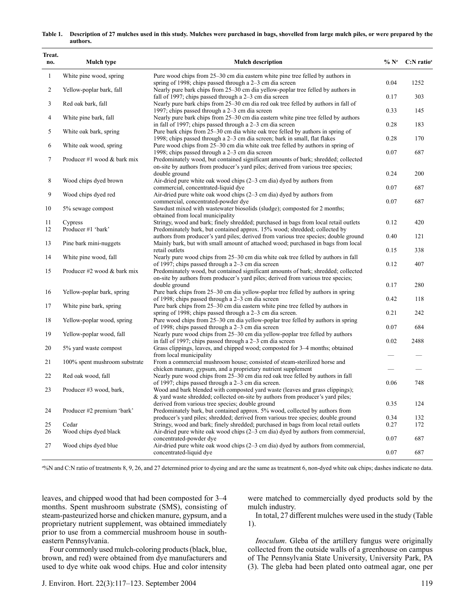#### **Table 1. Description of 27 mulches used in this study. Mulches were purchased in bags, shovelled from large mulch piles, or were prepared by the authors.**

| Treat.<br>no.  | Mulch type                       | <b>Mulch description</b>                                                                                                                                                                                                     | $\%$ N <sup>z</sup> | $C: N$ ratio <sup>z</sup> |
|----------------|----------------------------------|------------------------------------------------------------------------------------------------------------------------------------------------------------------------------------------------------------------------------|---------------------|---------------------------|
| $\mathbf{1}$   | White pine wood, spring          | Pure wood chips from 25–30 cm dia eastern white pine tree felled by authors in<br>spring of 1998; chips passed through a 2–3 cm dia screen                                                                                   | 0.04                | 1252                      |
| $\overline{c}$ | Yellow-poplar bark, fall         | Nearly pure bark chips from 25–30 cm dia yellow-poplar tree felled by authors in<br>fall of 1997; chips passed through a 2–3 cm dia screen                                                                                   | 0.17                | 303                       |
| 3              | Red oak bark, fall               | Nearly pure bark chips from 25–30 cm dia red oak tree felled by authors in fall of<br>1997; chips passed through a $2-3$ cm dia screen                                                                                       | 0.33                | 145                       |
| $\overline{4}$ | White pine bark, fall            | Nearly pure bark chips from 25–30 cm dia eastern white pine tree felled by authors<br>in fall of 1997; chips passed through a 2–3 cm dia screen                                                                              | 0.28                | 183                       |
| 5              | White oak bark, spring           | Pure bark chips from 25–30 cm dia white oak tree felled by authors in spring of<br>1998; chips passed through a 2–3 cm dia screen; bark in small, flat flakes                                                                | 0.28                | 170                       |
| 6              | White oak wood, spring           | Pure wood chips from 25–30 cm dia white oak tree felled by authors in spring of<br>1998; chips passed through a 2–3 cm dia screen                                                                                            | 0.07                | 687                       |
| 7              | Producer #1 wood $&$ bark mix    | Predominately wood, but contained significant amounts of bark; shredded; collected<br>on-site by authors from producer's yard piles; derived from various tree species;                                                      |                     |                           |
| 8              | Wood chips dyed brown            | double ground<br>Air-dried pure white oak wood chips $(2-3$ cm dia) dyed by authors from                                                                                                                                     | 0.24                | 200                       |
| 9              | Wood chips dyed red              | commercial, concentrated-liquid dye<br>Air-dried pure white oak wood chips (2-3 cm dia) dyed by authors from                                                                                                                 | 0.07                | 687                       |
| 10             | 5% sewage compost                | commercial, concentrated-powder dye<br>Sawdust mixed with wastewater biosolids (sludge); composted for 2 months;<br>obtained from local municipality                                                                         | 0.07                | 687                       |
| 11<br>12       | Cypress<br>Producer #1 'bark'    | Stringy, wood and bark; finely shredded; purchased in bags from local retail outlets<br>Predominately bark, but contained approx. 15% wood; shredded; collected by                                                           | 0.12                | 420                       |
| 13             | Pine bark mini-nuggets           | authors from producer's yard piles; derived from various tree species; double ground<br>Mainly bark, but with small amount of attached wood; purchased in bags from local                                                    | 0.40                | 121                       |
| 14             | White pine wood, fall            | retail outlets<br>Nearly pure wood chips from 25–30 cm dia white oak tree felled by authors in fall                                                                                                                          | 0.15                | 338                       |
| 15             | Producer $#2$ wood $\&$ bark mix | of 1997; chips passed through a 2–3 cm dia screen<br>Predominately wood, but contained significant amounts of bark; shredded; collected<br>on-site by authors from producer's yard piles; derived from various tree species; | 0.12                | 407                       |
| 16             | Yellow-poplar bark, spring       | double ground<br>Pure bark chips from 25–30 cm dia yellow-poplar tree felled by authors in spring                                                                                                                            | 0.17                | 280                       |
| 17             | White pine bark, spring          | of 1998; chips passed through a 2–3 cm dia screen<br>Pure bark chips from 25–30 cm dia eastern white pine tree felled by authors in                                                                                          | 0.42                | 118                       |
| 18             | Yellow-poplar wood, spring       | spring of 1998; chips passed through a 2–3 cm dia screen.<br>Pure wood chips from 25–30 cm dia yellow-poplar tree felled by authors in spring                                                                                | 0.21                | 242                       |
| 19             | Yellow-poplar wood, fall         | of 1998; chips passed through a 2–3 cm dia screen<br>Nearly pure wood chips from 25–30 cm dia yellow-poplar tree felled by authors                                                                                           | 0.07                | 684                       |
| 20             | 5% yard waste compost            | in fall of 1997; chips passed through a 2–3 cm dia screen<br>Grass clippings, leaves, and chipped wood; composted for 3–4 months; obtained                                                                                   | 0.02                | 2488                      |
| 21             | 100% spent mushroom substrate    | from local municipality<br>From a commercial mushroom house; consisted of steam-sterilized horse and                                                                                                                         |                     |                           |
| 22             | Red oak wood, fall               | chicken manure, gypsum, and a proprietary nutrient supplement<br>Nearly pure wood chips from 25–30 cm dia red oak tree felled by authors in fall                                                                             |                     |                           |
| 23             | Producer #3 wood, bark,          | of 1997; chips passed through a 2–3 cm dia screen.<br>Wood and bark blended with composted yard waste (leaves and grass clippings);<br>& yard waste shredded; collected on-site by authors from producer's yard piles;       | 0.06                | 748                       |
| 24             | Producer #2 premium 'bark'       | derived from various tree species; double ground<br>Predominately bark, but contained approx. 5% wood, collected by authors from                                                                                             | 0.35                | 124                       |
| 25             | Cedar                            | producer's yard piles; shredded; derived from various tree species; double ground<br>Stringy, wood and bark; finely shredded; purchased in bags from local retail outlets                                                    | 0.34<br>0.27        | 132<br>172                |
| 26             | Wood chips dyed black            | Air-dried pure white oak wood chips $(2-3 \text{ cm})$ diappoint dyed by authors from commercial,<br>concentrated-powder dye                                                                                                 | 0.07                | 687                       |
| 27             | Wood chips dyed blue             | Air-dried pure white oak wood chips $(2-3 \text{ cm dia})$ dyed by authors from commercial,<br>concentrated-liquid dye                                                                                                       | 0.07                | 687                       |

z %N and C:N ratio of treatments 8, 9, 26, and 27 determined prior to dyeing and are the same as treatment 6, non-dyed white oak chips; dashes indicate no data.

leaves, and chipped wood that had been composted for 3–4 months. Spent mushroom substrate (SMS), consisting of steam-pasteurized horse and chicken manure, gypsum, and a proprietary nutrient supplement, was obtained immediately prior to use from a commercial mushroom house in southeastern Pennsylvania.

Four commonly used mulch-coloring products (black, blue, brown, and red) were obtained from dye manufacturers and used to dye white oak wood chips. Hue and color intensity were matched to commercially dyed products sold by the mulch industry.

In total, 27 different mulches were used in the study (Table 1).

*Inoculum*. Gleba of the artillery fungus were originally collected from the outside walls of a greenhouse on campus of The Pennsylvania State University, University Park, PA (3). The gleba had been plated onto oatmeal agar, one per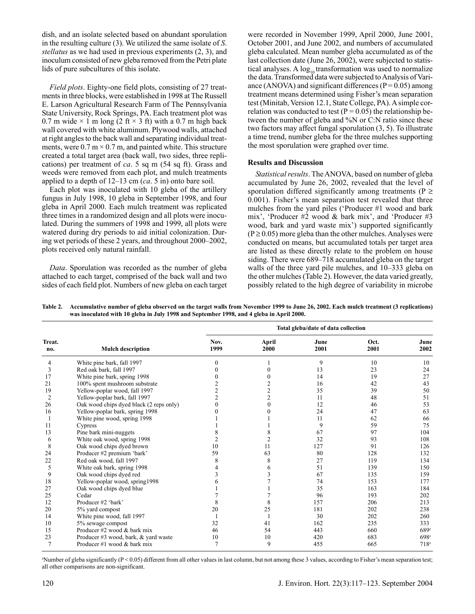dish, and an isolate selected based on abundant sporulation in the resulting culture (3). We utilized the same isolate of *S*. *stellatus* as we had used in previous experiments (2, 3), and inoculum consisted of new gleba removed from the Petri plate lids of pure subcultures of this isolate.

*Field plots*. Eighty-one field plots, consisting of 27 treatments in three blocks, were established in 1998 at The Russell E. Larson Agricultural Research Farm of The Pennsylvania State University, Rock Springs, PA. Each treatment plot was 0.7 m wide  $\times$  1 m long (2 ft  $\times$  3 ft) with a 0.7 m high back wall covered with white aluminum. Plywood walls, attached at right angles to the back wall and separating individual treatments, were  $0.7 \text{ m} \times 0.7 \text{ m}$ , and painted white. This structure created a total target area (back wall, two sides, three replications) per treatment of *ca*. 5 sq m (54 sq ft). Grass and weeds were removed from each plot, and mulch treatments applied to a depth of 12–13 cm (*ca*. 5 in) onto bare soil.

Each plot was inoculated with 10 gleba of the artillery fungus in July 1998, 10 gleba in September 1998, and four gleba in April 2000. Each mulch treatment was replicated three times in a randomized design and all plots were inoculated. During the summers of 1998 and 1999, all plots were watered during dry periods to aid initial colonization. During wet periods of these 2 years, and throughout 2000–2002, plots received only natural rainfall.

*Data*. Sporulation was recorded as the number of gleba attached to each target, comprised of the back wall and two sides of each field plot. Numbers of new gleba on each target were recorded in November 1999, April 2000, June 2001, October 2001, and June 2002, and numbers of accumulated gleba calculated. Mean number gleba accumulated as of the last collection date (June 26, 2002), were subjected to statistical analyses. A  $\log_{10}$  transformation was used to normalize the data. Transformed data were subjected to Analysis of Variance (ANOVA) and significant differences ( $P = 0.05$ ) among treatment means determined using Fisher's mean separation test (Minitab, Version 12.1, State College, PA). A simple correlation was conducted to test ( $P = 0.05$ ) the relationship between the number of gleba and %N or C:N ratio since these two factors may affect fungal sporulation (3, 5). To illustrate a time trend, number gleba for the three mulches supporting the most sporulation were graphed over time.

### **Results and Discussion**

*Statistical results*. The ANOVA, based on number of gleba accumulated by June 26, 2002, revealed that the level of sporulation differed significantly among treatments ( $P \ge$ 0.001). Fisher's mean separation test revealed that three mulches from the yard piles ('Producer #1 wood and bark mix', 'Producer #2 wood & bark mix', and 'Producer #3 wood, bark and yard waste mix') supported significantly  $(P \ge 0.05)$  more gleba than the other mulches. Analyses were conducted on means, but accumulated totals per target area are listed as these directly relate to the problem on house siding. There were 689–718 accumulated gleba on the target walls of the three yard pile mulches, and 10–333 gleba on the other mulches (Table 2). However, the data varied greatly, possibly related to the high degree of variability in microbe

**Table 2. Accumulative number of gleba observed on the target walls from November 1999 to June 26, 2002. Each mulch treatment (3 replications) was inoculated with 10 gleba in July 1998 and September 1998, and 4 gleba in April 2000.**

|               |                                         | Total gleba/date of data collection |               |              |              |                  |  |
|---------------|-----------------------------------------|-------------------------------------|---------------|--------------|--------------|------------------|--|
| Treat.<br>no. | <b>Mulch description</b>                | Nov.<br>1999                        | April<br>2000 | June<br>2001 | Oct.<br>2001 | June<br>2002     |  |
| 4             | White pine bark, fall 1997              | $\theta$                            |               | 9            | 10           | 10               |  |
| 3             | Red oak bark, fall 1997                 |                                     |               | 13           | 23           | 24               |  |
| 17            | White pine bark, spring 1998            |                                     |               | 14           | 19           | 27               |  |
| 21            | 100% spent mushroom substrate           |                                     |               | 16           | 42           | 43               |  |
| 19            | Yellow-poplar wood, fall 1997           |                                     |               | 35           | 39           | 50               |  |
| 2             | Yellow-poplar bark, fall 1997           |                                     |               | 11           | 48           | 51               |  |
| 26            | Oak wood chips dyed black (2 reps only) |                                     |               | 12           | 46           | 53               |  |
| 16            | Yellow-poplar bark, spring 1998         |                                     |               | 24           | 47           | 63               |  |
|               | White pine wood, spring 1998            |                                     |               | 11           | 62           | 66               |  |
| 11            | Cypress                                 |                                     |               | 9            | 59           | 75               |  |
| 13            | Pine bark mini-nuggets                  |                                     |               | 67           | 97           | 104              |  |
| 6             | White oak wood, spring 1998             |                                     | 2             | 32           | 93           | 108              |  |
| 8             | Oak wood chips dyed brown               | 10                                  | 11            | 127          | 91           | 126              |  |
| 24            | Producer #2 premium 'bark'              | 59                                  | 63            | 80           | 128          | 132              |  |
| 22            | Red oak wood, fall 1997                 | 8                                   | 8             | 27           | 119          | 134              |  |
| 5             | White oak bark, spring 1998             |                                     |               | 51           | 139          | 150              |  |
| 9             | Oak wood chips dyed red                 |                                     |               | 67           | 135          | 159              |  |
| 18            | Yellow-poplar wood, spring1998          |                                     |               | 74           | 153          | 177              |  |
| 27            | Oak wood chips dyed blue                |                                     |               | 35           | 163          | 184              |  |
| 25            | Cedar                                   |                                     |               | 96           | 193          | 202              |  |
| 12            | Producer #2 'bark'                      | 8                                   | 8             | 157          | 206          | 213              |  |
| 20            | 5% yard compost                         | 20                                  | 25            | 181          | 202          | 238              |  |
| 14            | White pine wood, fall 1997              |                                     |               | 30           | 202          | 260              |  |
| 10            | 5% sewage compost                       | 32                                  | 41            | 162          | 235          | 333              |  |
| 15            | Producer #2 wood & bark mix             | 46                                  | 54            | 443          | 660          | 689z             |  |
| 23            | Producer #3 wood, bark, & yard waste    | 10                                  | 10            | 420          | 683          | 698 <sup>z</sup> |  |
|               | Producer #1 wood $&$ bark mix           | $\overline{7}$                      | 9             | 455          | 665          | 718 <sup>z</sup> |  |

z Number of gleba significantly (P < 0.05) different from all other values in last column, but not among these 3 values, according to Fisher's mean separation test; all other comparisons are non-significant.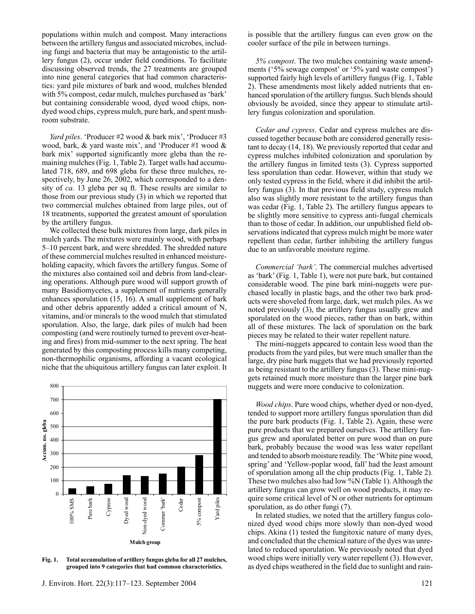populations within mulch and compost. Many interactions between the artillery fungus and associated microbes, including fungi and bacteria that may be antagonistic to the artillery fungus (2), occur under field conditions. To facilitate discussing observed trends, the 27 treatments are grouped into nine general categories that had common characteristics: yard pile mixtures of bark and wood, mulches blended with 5% compost, cedar mulch, mulches purchased as 'bark' but containing considerable wood, dyed wood chips, nondyed wood chips, cypress mulch, pure bark, and spent mushroom substrate.

*Yard piles*. 'Producer #2 wood & bark mix', 'Producer #3 wood, bark, & yard waste mix', and 'Producer #1 wood & bark mix' supported significantly more gleba than the remaining mulches (Fig. 1, Table 2). Target walls had accumulated 718, 689, and 698 gleba for these three mulches, respectively, by June 26, 2002, which corresponded to a density of *ca.* 13 gleba per sq ft. These results are similar to those from our previous study (3) in which we reported that two commercial mulches obtained from large piles, out of 18 treatments, supported the greatest amount of sporulation by the artillery fungus.

We collected these bulk mixtures from large, dark piles in mulch yards. The mixtures were mainly wood, with perhaps 5–10 percent bark, and were shredded. The shredded nature of these commercial mulches resulted in enhanced moistureholding capacity, which favors the artillery fungus. Some of the mixtures also contained soil and debris from land-clearing operations. Although pure wood will support growth of many Basidiomycetes, a supplement of nutrients generally enhances sporulation (15, 16). A small supplement of bark and other debris apparently added a critical amount of N, vitamins, and/or minerals to the wood mulch that stimulated sporulation. Also, the large, dark piles of mulch had been composting (and were routinely turned to prevent over-heating and fires) from mid-summer to the next spring. The heat generated by this composting process kills many competing, non-thermophilic organisms, affording a vacant ecological niche that the ubiquitous artillery fungus can later exploit. It



**Fig. 1. Total accumulation of artillery fungus gleba for all 27 mulches, grouped into 9 categories that had common characteristics.**

is possible that the artillery fungus can even grow on the cooler surface of the pile in between turnings.

*5% compost*. The two mulches containing waste amendments ('5% sewage compost' or '5% yard waste compost') supported fairly high levels of artillery fungus (Fig. 1, Table 2). These amendments most likely added nutrients that enhanced sporulation of the artillery fungus. Such blends should obviously be avoided, since they appear to stimulate artillery fungus colonization and sporulation.

*Cedar and cypress*. Cedar and cypress mulches are discussed together because both are considered generally resistant to decay (14, 18). We previously reported that cedar and cypress mulches inhibited colonization and sporulation by the artillery fungus in limited tests (3). Cypress supported less sporulation than cedar. However, within that study we only tested cypress in the field, where it did inhibit the artillery fungus (3). In that previous field study, cypress mulch also was slightly more resistant to the artillery fungus than was cedar (Fig. 1, Table 2). The artillery fungus appears to be slightly more sensitive to cypress anti-fungal chemicals than to those of cedar. In addition, our unpublished field observations indicated that cypress mulch might be more water repellent than cedar, further inhibiting the artillery fungus due to an unfavorable moisture regime.

*Commercial 'bark'*. The commercial mulches advertised as 'bark' (Fig. 1, Table 1), were not pure bark, but contained considerable wood. The pine bark mini-nuggets were purchased locally in plastic bags, and the other two bark products were shoveled from large, dark, wet mulch piles. As we noted previously (3), the artillery fungus usually grew and sporulated on the wood pieces, rather than on bark, within all of these mixtures. The lack of sporulation on the bark pieces may be related to their water repellent nature.

The mini-nuggets appeared to contain less wood than the products from the yard piles, but were much smaller than the large, dry pine bark nuggets that we had previously reported as being resistant to the artillery fungus (3). These mini-nuggets retained much more moisture than the larger pine bark nuggets and were more conducive to colonization.

*Wood chips*. Pure wood chips, whether dyed or non-dyed, tended to support more artillery fungus sporulation than did the pure bark products (Fig. 1, Table 2). Again, these were pure products that we prepared ourselves. The artillery fungus grew and sporulated better on pure wood than on pure bark, probably because the wood was less water repellant and tended to absorb moisture readily. The 'White pine wood, spring' and 'Yellow-poplar wood, fall' had the least amount of sporulation among all the chip products (Fig. 1, Table 2). These two mulches also had low %N (Table 1). Although the artillery fungus can grow well on wood products, it may require some critical level of N or other nutrients for optimum sporulation, as do other fungi (7).

In related studies, we noted that the artillery fungus colonized dyed wood chips more slowly than non-dyed wood chips. Akina (1) tested the fungitoxic nature of many dyes, and concluded that the chemical nature of the dyes was unrelated to reduced sporulation. We previously noted that dyed wood chips were initially very water repellent (3). However, as dyed chips weathered in the field due to sunlight and rain-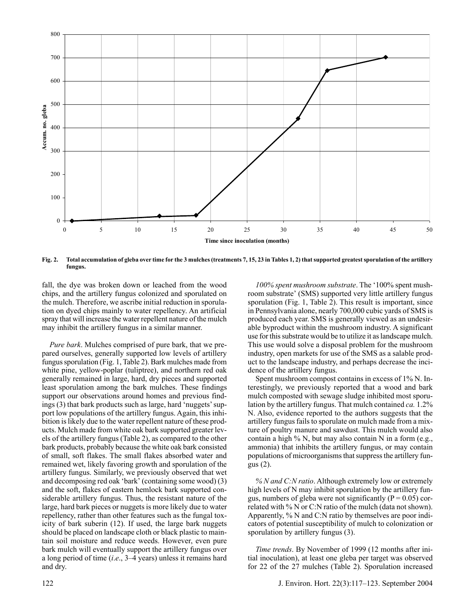

**Fig. 2. Total accumulation of gleba over time for the 3 mulches (treatments 7, 15, 23 in Tables 1, 2) that supported greatest sporulation of the artillery fungus.**

fall, the dye was broken down or leached from the wood chips, and the artillery fungus colonized and sporulated on the mulch. Therefore, we ascribe initial reduction in sporulation on dyed chips mainly to water repellency. An artificial spray that will increase the water repellent nature of the mulch may inhibit the artillery fungus in a similar manner.

*Pure bark*. Mulches comprised of pure bark, that we prepared ourselves, generally supported low levels of artillery fungus sporulation (Fig. 1, Table 2). Bark mulches made from white pine, yellow-poplar (tuliptree), and northern red oak generally remained in large, hard, dry pieces and supported least sporulation among the bark mulches. These findings support our observations around homes and previous findings (3) that bark products such as large, hard 'nuggets' support low populations of the artillery fungus. Again, this inhibition is likely due to the water repellent nature of these products. Mulch made from white oak bark supported greater levels of the artillery fungus (Table 2), as compared to the other bark products, probably because the white oak bark consisted of small, soft flakes. The small flakes absorbed water and remained wet, likely favoring growth and sporulation of the artillery fungus. Similarly, we previously observed that wet and decomposing red oak 'bark' (containing some wood) (3) and the soft, flakes of eastern hemlock bark supported considerable artillery fungus. Thus, the resistant nature of the large, hard bark pieces or nuggets is more likely due to water repellency, rather than other features such as the fungal toxicity of bark suberin (12). If used, the large bark nuggets should be placed on landscape cloth or black plastic to maintain soil moisture and reduce weeds. However, even pure bark mulch will eventually support the artillery fungus over a long period of time (*i*.*e*., 3–4 years) unless it remains hard and dry.

populations of microorganisms that suppress the artillery fungus (2). *% N and C:N ratio*. Although extremely low or extremely high levels of N may inhibit sporulation by the artillery fun-

dence of the artillery fungus.

gus, numbers of gleba were not significantly ( $P = 0.05$ ) correlated with % N or C:N ratio of the mulch (data not shown). Apparently, % N and C:N ratio by themselves are poor indicators of potential susceptibility of mulch to colonization or sporulation by artillery fungus  $(3)$ .

*100% spent mushroom substrate*. The '100% spent mushroom substrate' (SMS) supported very little artillery fungus sporulation (Fig. 1, Table 2). This result is important, since in Pennsylvania alone, nearly 700,000 cubic yards of SMS is produced each year. SMS is generally viewed as an undesirable byproduct within the mushroom industry. A significant use for this substrate would be to utilize it as landscape mulch. This use would solve a disposal problem for the mushroom industry, open markets for use of the SMS as a salable product to the landscape industry, and perhaps decrease the inci-

Spent mushroom compost contains in excess of 1% N. Interestingly, we previously reported that a wood and bark mulch composted with sewage sludge inhibited most sporulation by the artillery fungus. That mulch contained *ca.* 1.2% N. Also, evidence reported to the authors suggests that the artillery fungus fails to sporulate on mulch made from a mixture of poultry manure and sawdust. This mulch would also contain a high % N, but may also contain N in a form (e.g., ammonia) that inhibits the artillery fungus, or may contain

*Time trends*. By November of 1999 (12 months after initial inoculation), at least one gleba per target was observed for 22 of the 27 mulches (Table 2). Sporulation increased